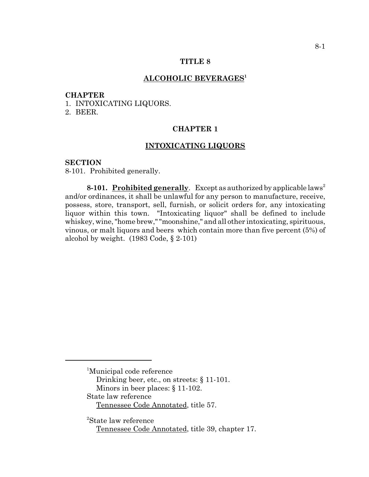#### **TITLE 8**

### **ALCOHOLIC BEVERAGES1**

#### **CHAPTER**

1. INTOXICATING LIQUORS.

2. BEER.

### **CHAPTER 1**

## **INTOXICATING LIQUORS**

#### **SECTION**

8-101. Prohibited generally.

**8-101.** Prohibited generally. Except as authorized by applicable laws<sup>2</sup> and/or ordinances, it shall be unlawful for any person to manufacture, receive, possess, store, transport, sell, furnish, or solicit orders for, any intoxicating liquor within this town. "Intoxicating liquor" shall be defined to include whiskey, wine, "home brew," "moonshine," and all other intoxicating, spirituous, vinous, or malt liquors and beers which contain more than five percent (5%) of alcohol by weight. (1983 Code, § 2-101)

- Drinking beer, etc., on streets: § 11-101.
- Minors in beer places: § 11-102.

2 State law reference Tennessee Code Annotated, title 39, chapter 17.

<sup>&</sup>lt;sup>1</sup>Municipal code reference

State law reference

Tennessee Code Annotated, title 57.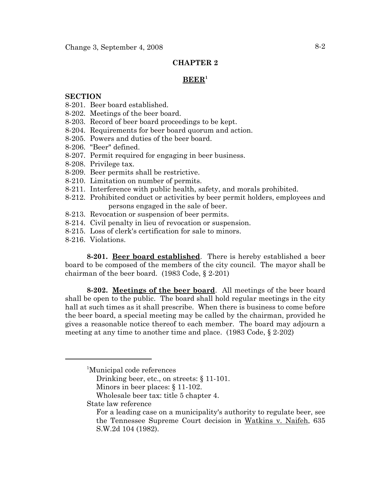## **CHAPTER 2**

## **BEER1**

### **SECTION**

- 8-201. Beer board established.
- 8-202. Meetings of the beer board.
- 8-203. Record of beer board proceedings to be kept.
- 8-204. Requirements for beer board quorum and action.
- 8-205. Powers and duties of the beer board.
- 8-206. "Beer" defined.
- 8-207. Permit required for engaging in beer business.
- 8-208. Privilege tax.
- 8-209. Beer permits shall be restrictive.
- 8-210. Limitation on number of permits.
- 8-211. Interference with public health, safety, and morals prohibited.
- 8-212. Prohibited conduct or activities by beer permit holders, employees and persons engaged in the sale of beer.
- 8-213. Revocation or suspension of beer permits.
- 8-214. Civil penalty in lieu of revocation or suspension.
- 8-215. Loss of clerk's certification for sale to minors.
- 8-216. Violations.

**8-201. Beer board established**. There is hereby established a beer board to be composed of the members of the city council. The mayor shall be chairman of the beer board. (1983 Code, § 2-201)

**8-202. Meetings of the beer board**. All meetings of the beer board shall be open to the public. The board shall hold regular meetings in the city hall at such times as it shall prescribe. When there is business to come before the beer board, a special meeting may be called by the chairman, provided he gives a reasonable notice thereof to each member. The board may adjourn a meeting at any time to another time and place. (1983 Code, § 2-202)

Drinking beer, etc., on streets: § 11-101.

- Wholesale beer tax: title 5 chapter 4.
- State law reference

<sup>&</sup>lt;sup>1</sup>Municipal code references

Minors in beer places: § 11-102.

For a leading case on a municipality's authority to regulate beer, see the Tennessee Supreme Court decision in Watkins v. Naifeh, 635 S.W.2d 104 (1982).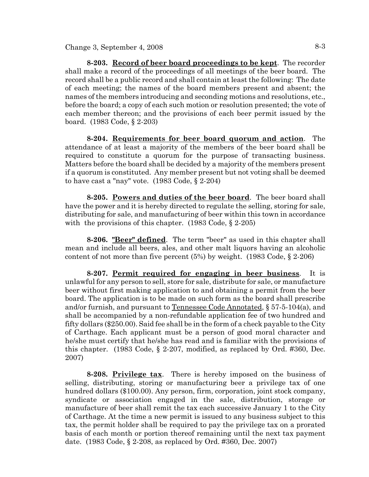**8-203. Record of beer board proceedings to be kept**. The recorder shall make a record of the proceedings of all meetings of the beer board. The record shall be a public record and shall contain at least the following: The date of each meeting; the names of the board members present and absent; the names of the members introducing and seconding motions and resolutions, etc., before the board; a copy of each such motion or resolution presented; the vote of each member thereon; and the provisions of each beer permit issued by the board. (1983 Code, § 2-203)

**8-204. Requirements for beer board quorum and action**. The attendance of at least a majority of the members of the beer board shall be required to constitute a quorum for the purpose of transacting business. Matters before the board shall be decided by a majority of the members present if a quorum is constituted. Any member present but not voting shall be deemed to have cast a "nay" vote. (1983 Code, § 2-204)

**8-205. Powers and duties of the beer board**. The beer board shall have the power and it is hereby directed to regulate the selling, storing for sale, distributing for sale, and manufacturing of beer within this town in accordance with the provisions of this chapter. (1983 Code, § 2-205)

**8-206. "Beer" defined**. The term "beer" as used in this chapter shall mean and include all beers, ales, and other malt liquors having an alcoholic content of not more than five percent  $(5%)$  by weight.  $(1983 \text{ Code}, \S 2-206)$ 

**8-207. Permit required for engaging in beer business**. It is unlawful for any person to sell, store for sale, distribute for sale, or manufacture beer without first making application to and obtaining a permit from the beer board. The application is to be made on such form as the board shall prescribe and/or furnish, and pursuant to Tennessee Code Annotated,  $\S 57-5-104(a)$ , and shall be accompanied by a non-refundable application fee of two hundred and fifty dollars (\$250.00). Said fee shall be in the form of a check payable to the City of Carthage. Each applicant must be a person of good moral character and he/she must certify that he/she has read and is familiar with the provisions of this chapter. (1983 Code, § 2-207, modified, as replaced by Ord. #360, Dec. 2007)

**8-208. Privilege tax**. There is hereby imposed on the business of selling, distributing, storing or manufacturing beer a privilege tax of one hundred dollars (\$100.00). Any person, firm, corporation, joint stock company, syndicate or association engaged in the sale, distribution, storage or manufacture of beer shall remit the tax each successive January 1 to the City of Carthage. At the time a new permit is issued to any business subject to this tax, the permit holder shall be required to pay the privilege tax on a prorated basis of each month or portion thereof remaining until the next tax payment date. (1983 Code, § 2-208, as replaced by Ord. #360, Dec. 2007)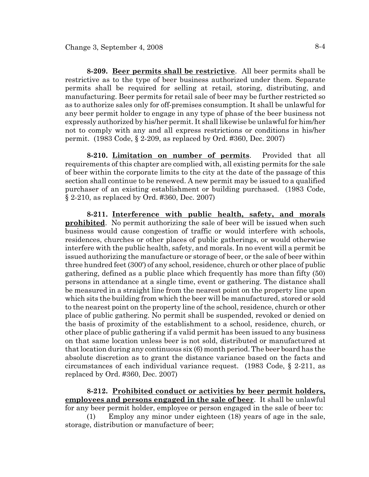**8-209. Beer permits shall be restrictive**. All beer permits shall be restrictive as to the type of beer business authorized under them. Separate permits shall be required for selling at retail, storing, distributing, and manufacturing. Beer permits for retail sale of beer may be further restricted so as to authorize sales only for off-premises consumption. It shall be unlawful for any beer permit holder to engage in any type of phase of the beer business not expressly authorized by his/her permit. It shall likewise be unlawful for him/her not to comply with any and all express restrictions or conditions in his/her permit. (1983 Code, § 2-209, as replaced by Ord. #360, Dec. 2007)

**8-210. Limitation on number of permits**. Provided that all requirements of this chapter are complied with, all existing permits for the sale of beer within the corporate limits to the city at the date of the passage of this section shall continue to be renewed. A new permit may be issued to a qualified purchaser of an existing establishment or building purchased. (1983 Code, § 2-210, as replaced by Ord. #360, Dec. 2007)

**8-211. Interference with public health, safety, and morals prohibited**. No permit authorizing the sale of beer will be issued when such business would cause congestion of traffic or would interfere with schools, residences, churches or other places of public gatherings, or would otherwise interfere with the public health, safety, and morals. In no event will a permit be issued authorizing the manufacture or storage of beer, or the sale of beer within three hundred feet (300') of any school, residence, church or other place of public gathering, defined as a public place which frequently has more than fifty (50) persons in attendance at a single time, event or gathering. The distance shall be measured in a straight line from the nearest point on the property line upon which sits the building from which the beer will be manufactured, stored or sold to the nearest point on the property line of the school, residence, church or other place of public gathering. No permit shall be suspended, revoked or denied on the basis of proximity of the establishment to a school, residence, church, or other place of public gathering if a valid permit has been issued to any business on that same location unless beer is not sold, distributed or manufactured at that location during any continuous six (6) month period. The beer board has the absolute discretion as to grant the distance variance based on the facts and circumstances of each individual variance request. (1983 Code, § 2-211, as replaced by Ord. #360, Dec. 2007)

**8-212. Prohibited conduct or activities by beer permit holders, employees and persons engaged in the sale of beer**. It shall be unlawful for any beer permit holder, employee or person engaged in the sale of beer to:

(1) Employ any minor under eighteen (18) years of age in the sale, storage, distribution or manufacture of beer;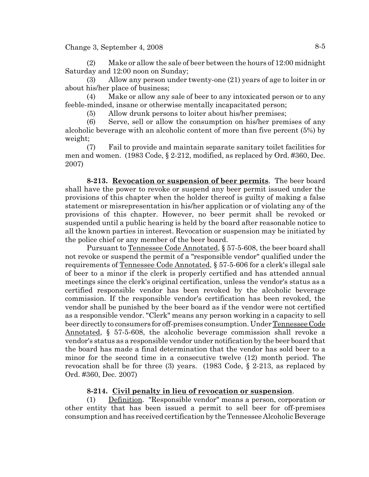Change 3, September 4, 2008  $8-5$ 

(2) Make or allow the sale of beer between the hours of 12:00 midnight Saturday and 12:00 noon on Sunday;

(3) Allow any person under twenty-one (21) years of age to loiter in or about his/her place of business;

(4) Make or allow any sale of beer to any intoxicated person or to any feeble-minded, insane or otherwise mentally incapacitated person;

(5) Allow drunk persons to loiter about his/her premises;

(6) Serve, sell or allow the consumption on his/her premises of any alcoholic beverage with an alcoholic content of more than five percent (5%) by weight;

(7) Fail to provide and maintain separate sanitary toilet facilities for men and women. (1983 Code, § 2-212, modified, as replaced by Ord. #360, Dec. 2007)

**8-213. Revocation or suspension of beer permits**. The beer board shall have the power to revoke or suspend any beer permit issued under the provisions of this chapter when the holder thereof is guilty of making a false statement or misrepresentation in his/her application or of violating any of the provisions of this chapter. However, no beer permit shall be revoked or suspended until a public hearing is held by the board after reasonable notice to all the known parties in interest. Revocation or suspension may be initiated by the police chief or any member of the beer board.

Pursuant to Tennessee Code Annotated, § 57-5-608, the beer board shall not revoke or suspend the permit of a "responsible vendor" qualified under the requirements of Tennessee Code Annotated, § 57-5-606 for a clerk's illegal sale of beer to a minor if the clerk is properly certified and has attended annual meetings since the clerk's original certification, unless the vendor's status as a certified responsible vendor has been revoked by the alcoholic beverage commission. If the responsible vendor's certification has been revoked, the vendor shall be punished by the beer board as if the vendor were not certified as a responsible vendor. "Clerk" means any person working in a capacity to sell beer directly to consumers for off-premises consumption. Under Tennessee Code Annotated, § 57-5-608, the alcoholic beverage commission shall revoke a vendor's status as a responsible vendor under notification by the beer board that the board has made a final determination that the vendor has sold beer to a minor for the second time in a consecutive twelve (12) month period. The revocation shall be for three (3) years. (1983 Code, § 2-213, as replaced by Ord. #360, Dec. 2007)

# **8-214. Civil penalty in lieu of revocation or suspension**.

(1) Definition. "Responsible vendor" means a person, corporation or other entity that has been issued a permit to sell beer for off-premises consumption and has received certification by the Tennessee Alcoholic Beverage